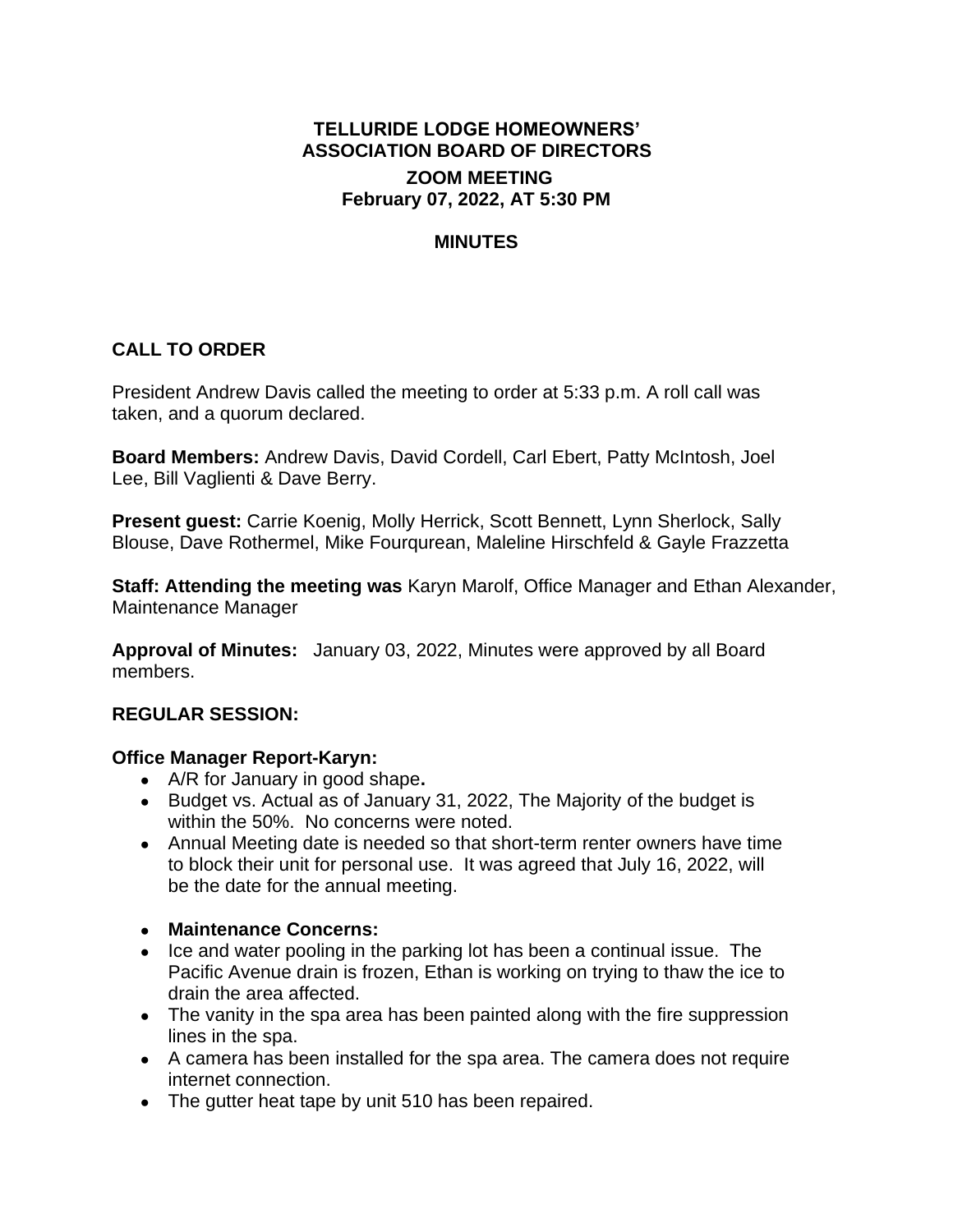# **TELLURIDE LODGE HOMEOWNERS' ASSOCIATION BOARD OF DIRECTORS ZOOM MEETING February 07, 2022, AT 5:30 PM**

### **MINUTES**

# **CALL TO ORDER**

President Andrew Davis called the meeting to order at 5:33 p.m. A roll call was taken, and a quorum declared.

**Board Members:** Andrew Davis, David Cordell, Carl Ebert, Patty McIntosh, Joel Lee, Bill Vaglienti & Dave Berry.

**Present guest:** Carrie Koenig, Molly Herrick, Scott Bennett, Lynn Sherlock, Sally Blouse, Dave Rothermel, Mike Fourqurean, Maleline Hirschfeld & Gayle Frazzetta

**Staff: Attending the meeting was** Karyn Marolf, Office Manager and Ethan Alexander, Maintenance Manager

**Approval of Minutes:** January 03, 2022, Minutes were approved by all Board members.

#### **REGULAR SESSION:**

#### **Office Manager Report-Karyn:**

- A/R for January in good shape**.**
- Budget vs. Actual as of January 31, 2022, The Majority of the budget is within the 50%. No concerns were noted.
- Annual Meeting date is needed so that short-term renter owners have time to block their unit for personal use. It was agreed that July 16, 2022, will be the date for the annual meeting.
- **Maintenance Concerns:**
- Ice and water pooling in the parking lot has been a continual issue. The Pacific Avenue drain is frozen, Ethan is working on trying to thaw the ice to drain the area affected.
- The vanity in the spa area has been painted along with the fire suppression lines in the spa.
- A camera has been installed for the spa area. The camera does not require internet connection.
- The gutter heat tape by unit 510 has been repaired.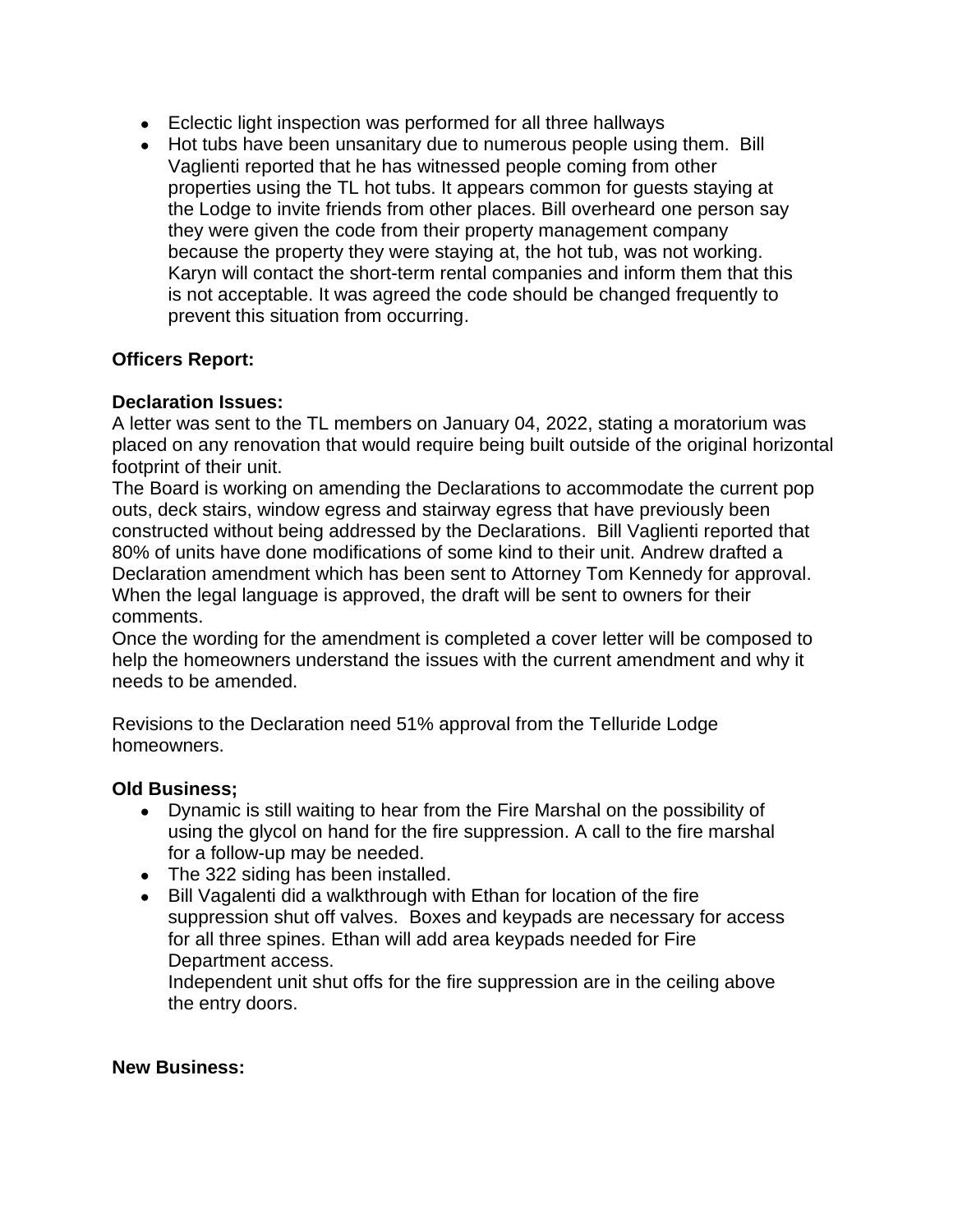- Eclectic light inspection was performed for all three hallways
- Hot tubs have been unsanitary due to numerous people using them. Bill Vaglienti reported that he has witnessed people coming from other properties using the TL hot tubs. It appears common for guests staying at the Lodge to invite friends from other places. Bill overheard one person say they were given the code from their property management company because the property they were staying at, the hot tub, was not working. Karyn will contact the short-term rental companies and inform them that this is not acceptable. It was agreed the code should be changed frequently to prevent this situation from occurring.

### **Officers Report:**

### **Declaration Issues:**

A letter was sent to the TL members on January 04, 2022, stating a moratorium was placed on any renovation that would require being built outside of the original horizontal footprint of their unit.

The Board is working on amending the Declarations to accommodate the current pop outs, deck stairs, window egress and stairway egress that have previously been constructed without being addressed by the Declarations. Bill Vaglienti reported that 80% of units have done modifications of some kind to their unit. Andrew drafted a Declaration amendment which has been sent to Attorney Tom Kennedy for approval. When the legal language is approved, the draft will be sent to owners for their comments.

Once the wording for the amendment is completed a cover letter will be composed to help the homeowners understand the issues with the current amendment and why it needs to be amended.

Revisions to the Declaration need 51% approval from the Telluride Lodge homeowners.

#### **Old Business;**

- Dynamic is still waiting to hear from the Fire Marshal on the possibility of using the glycol on hand for the fire suppression. A call to the fire marshal for a follow-up may be needed.
- The 322 siding has been installed.
- Bill Vagalenti did a walkthrough with Ethan for location of the fire suppression shut off valves. Boxes and keypads are necessary for access for all three spines. Ethan will add area keypads needed for Fire Department access.

Independent unit shut offs for the fire suppression are in the ceiling above the entry doors.

#### **New Business:**